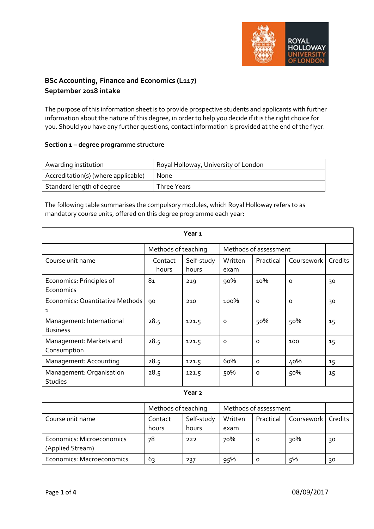

# **BSc Accounting, Finance and Economics (L117) September 2018 intake**

The purpose of this information sheet is to provide prospective students and applicants with further information about the nature of this degree, in order to help you decide if it is the right choice for you. Should you have any further questions, contact information is provided at the end of the flyer.

### **Section 1 – degree programme structure**

| Awarding institution                | Royal Holloway, University of London |
|-------------------------------------|--------------------------------------|
| Accreditation(s) (where applicable) | <b>None</b>                          |
| Standard length of degree           | Three Years                          |

The following table summarises the compulsory modules, which Royal Holloway refers to as mandatory course units, offered on this degree programme each year:

| Year <sub>1</sub>                             |                     |                     |                       |              |            |         |
|-----------------------------------------------|---------------------|---------------------|-----------------------|--------------|------------|---------|
|                                               | Methods of teaching |                     | Methods of assessment |              |            |         |
| Course unit name                              | Contact<br>hours    | Self-study<br>hours | Written<br>exam       | Practical    | Coursework | Credits |
| Economics: Principles of<br>Economics         | 81                  | 219                 | 90%                   | 10%          | $\Omega$   | 30      |
| Economics: Quantitative Methods<br>1          | 90                  | 210                 | 100%                  | $\Omega$     | $\Omega$   | 30      |
| Management: International<br><b>Business</b>  | 28.5                | 121.5               | $\circ$               | 50%          | 50%        | 15      |
| Management: Markets and<br>Consumption        | 28.5                | 121.5               | $\circ$               | $\mathsf{o}$ | 100        | 15      |
| Management: Accounting                        | 28.5                | 121.5               | 60%                   | $\mathsf{o}$ | 40%        | 15      |
| Management: Organisation<br><b>Studies</b>    | 28.5                | 121.5               | 50%                   | $\mathsf{o}$ | 50%        | 15      |
| Year <sub>2</sub>                             |                     |                     |                       |              |            |         |
|                                               | Methods of teaching |                     | Methods of assessment |              |            |         |
| Course unit name                              | Contact<br>hours    | Self-study<br>hours | Written<br>exam       | Practical    | Coursework | Credits |
| Economics: Microeconomics<br>(Applied Stream) | 78                  | 222                 | 70%                   | $\Omega$     | 30%        | 30      |
| Economics: Macroeconomics                     | 63                  | 237                 | 95%                   | $\mathsf{o}$ | 5%         | 30      |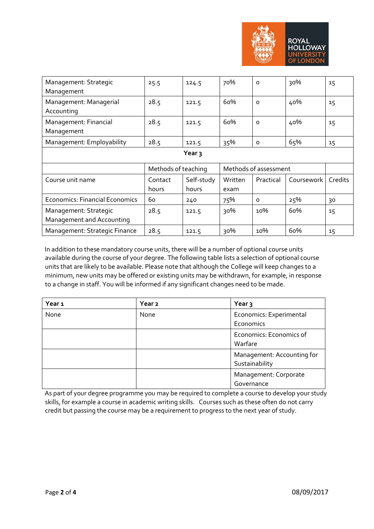

| Management: Strategic<br>Management                | 25.5                | 124.5               | 70%                   | $\Omega$  | 30%        | 15      |
|----------------------------------------------------|---------------------|---------------------|-----------------------|-----------|------------|---------|
| Management: Managerial<br>Accounting               | 28.5                | 121.5               | 60%                   | $\Omega$  | 40%        | 15      |
| Management: Financial<br>Management                | 28.5                | 121.5               | 60%                   | $\circ$   | 40%        | 15      |
| Management: Employability                          | 28.5                | 121.5               | 35%                   | $\Omega$  | 65%        | 15      |
| Year 3                                             |                     |                     |                       |           |            |         |
|                                                    | Methods of teaching |                     | Methods of assessment |           |            |         |
|                                                    |                     |                     |                       |           |            |         |
| Course unit name                                   | Contact<br>hours    | Self-study<br>hours | Written<br>exam       | Practical | Coursework | Credits |
| <b>Economics: Financial Economics</b>              | 60                  | 240                 | 75%                   | $\Omega$  | 25%        | 30      |
| Management: Strategic<br>Management and Accounting | 28.5                | 121.5               | 30%                   | 10%       | 60%        | 15      |

In addition to these mandatory course units, there will be a number of optional course units available during the course of your degree. The following table lists a selection of optional course units that are likely to be available. Please note that although the College will keep changes to a minimum, new units may be offered or existing units may be withdrawn, for example, in response to a change in staff. You will be informed if any significant changes need to be made.

| Year 1 | Year <sub>2</sub> | Year <sub>3</sub>                            |
|--------|-------------------|----------------------------------------------|
| None   | None              | Economics: Experimental                      |
|        |                   | Economics                                    |
|        |                   | Economics: Economics of<br>Warfare           |
|        |                   | Management: Accounting for<br>Sustainability |
|        |                   | Management: Corporate<br>Governance          |

As part of your degree programme you may be required to complete a course to develop your study skills, for example a course in academic writing skills. Courses such as these often do not carry credit but passing the course may be a requirement to progress to the next year of study.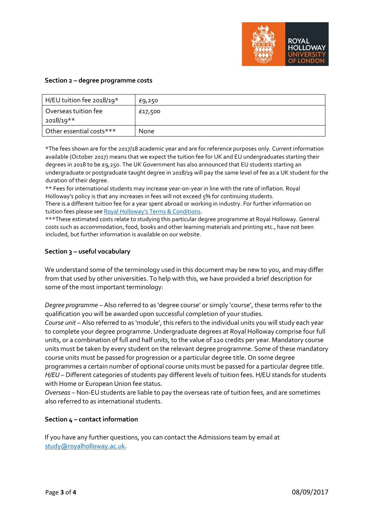

#### **Section 2 – degree programme costs**

| H/EU tuition fee 2018/19*         | £9,250      |
|-----------------------------------|-------------|
| Overseas tuition fee<br>2018/19** | £17,500     |
| Other essential costs***          | <b>None</b> |

\*The fees shown are for the 2017/18 academic year and are for reference purposes only. Current information available (October 2017) means that we expect the tuition fee for UK and EU undergraduates starting their degrees in 2018 to be £9,250. The UK Government has also announced that EU students starting an undergraduate or postgraduate taught degree in 2018/19 will pay the same level of fee as a UK student for the duration of their degree.

\*\* Fees for international students may increase year-on-year in line with the rate of inflation. Royal Holloway's policy is that any increases in fees will not exceed 5% for continuing students.

There is a different tuition fee for a year spent abroad or working in industry. For further information on tuition fees please se[e Royal Holloway's Terms & Conditions.](https://www.royalholloway.ac.uk/studyhere/undergraduate/applying/admissionspolicy.aspx)

\*\*\*These estimated costs relate to studying this particular degree programme at Royal Holloway. General costs such as accommodation, food, books and other learning materials and printing etc., have not been included, but further information is available on our website.

## **Section 3 – useful vocabulary**

We understand some of the terminology used in this document may be new to you, and may differ from that used by other universities. To help with this, we have provided a brief description for some of the most important terminology:

*Degree programme* – Also referred to as 'degree course' or simply 'course', these terms refer to the qualification you will be awarded upon successful completion of your studies.

*Course unit* – Also referred to as 'module', this refers to the individual units you will study each year to complete your degree programme. Undergraduate degrees at Royal Holloway comprise four full units, or a combination of full and half units, to the value of 120 credits per year. Mandatory course units must be taken by every student on the relevant degree programme. Some of these mandatory course units must be passed for progression or a particular degree title. On some degree programmes a certain number of optional course units must be passed for a particular degree title. *H/EU* – Different categories of students pay different levels of tuition fees. H/EU stands for students with Home or European Union fee status.

*Overseas* – Non-EU students are liable to pay the overseas rate of tuition fees, and are sometimes also referred to as international students.

## **Section 4 – contact information**

If you have any further questions, you can contact the Admissions team by email at study@royalholloway.ac.uk.